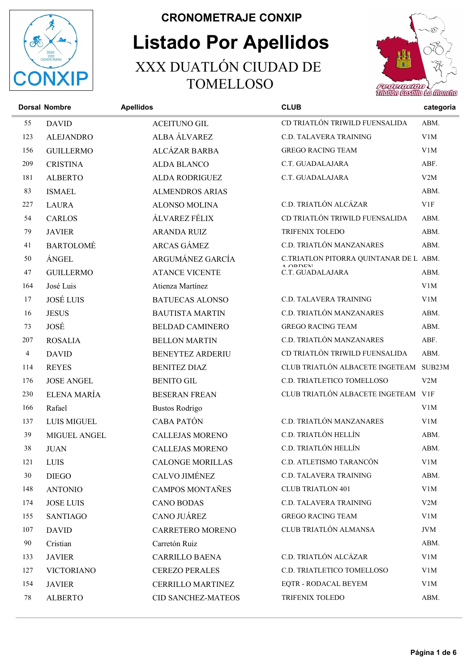

## Listado Por Apellidos CRONOMETRAJE CONXIP XXX DUATLÓN CIUDAD DE TOMELLOSO



**Dorsal Nombre CLUB** categoria DAVID ACEITUNO GIL CD TRIATLÓN TRIWILD FUENSALIDA ABM. ALEJANDRO ALBA ÁLVAREZ C.D. TALAVERA TRAINING V1M GUILLERMO ALCÁZAR BARBA GREGO RACING TEAM V1M CRISTINA ALDA BLANCO C.T. GUADALAJARA ABF. ALBERTO ALDA RODRIGUEZ C.T. GUADALAJARA V2M 83 ISMAEL ALMENDROS ARIAS ABM. LAURA ALONSO MOLINA C.D. TRIATLÓN ALCÁZAR V1F CARLOS ÁLVAREZ FÉLIX CD TRIATLÓN TRIWILD FUENSALIDA ABM. JAVIER ARANDA RUIZ TRIFENIX TOLEDO ABM. BARTOLOMÉ ARCAS GÁMEZ C.D. TRIATLÓN MANZANARES ABM. ARGUMÁNEZ GARCÍA C.TRIATLON PITORRA QUINTANAR DE L ÁNGEL ABM. A ORDENI<br>C.T. GUADALAJARA 47 GUILLERMO ATANCE VICENTE C.T. GUADALAJARA ABM. José Luis Atienza Martínez V1M JOSÉ LUIS BATUECAS ALONSO C.D. TALAVERA TRAINING V1M JESUS BAUTISTA MARTIN C.D. TRIATLÓN MANZANARES ABM. JOSÉ BELDAD CAMINERO GREGO RACING TEAM ABM. ROSALIA BELLON MARTIN C.D. TRIATLÓN MANZANARES ABF. DAVID BENEYTEZ ARDERIU CD TRIATLÓN TRIWILD FUENSALIDA ABM. REYES BENITEZ DIAZ CLUB TRIATLÓN ALBACETE INGETEAM SUB23M JOSE ANGEL BENITO GIL C.D. TRIATLETICO TOMELLOSO V2M ELENA MARÍA BESERAN FREAN CLUB TRIATLÓN ALBACETE INGETEAM V1F 166 Rafael Bustos Rodrigo V1M LUIS MIGUEL CABA PATÓN C.D. TRIATLÓN MANZANARES V1M MIGUEL ANGEL CALLEJAS MORENO C.D. TRIATLÓN HELLÍN ABM. JUAN CALLEJAS MORENO C.D. TRIATLÓN HELLÍN ABM. LUIS CALONGE MORILLAS C.D. ATLETISMO TARANCÓN V1M DIEGO CALVO JIMÉNEZ C.D. TALAVERA TRAINING ABM. ANTONIO CAMPOS MONTAÑES CLUB TRIATLON 401 V1M JOSE LUIS CANO BODAS C.D. TALAVERA TRAINING V2M SANTIAGO CANO JUÁREZ GREGO RACING TEAM V1M DAVID CARRETERO MORENO CLUB TRIATLÓN ALMANSA JVM 90 Cristian Carretón Ruiz Carretón Ruiz ABM. JAVIER CARRILLO BAENA C.D. TRIATLÓN ALCÁZAR V1M VICTORIANO CEREZO PERALES C.D. TRIATLETICO TOMELLOSO V1M JAVIER CERRILLO MARTINEZ EQTR - RODACAL BEYEM V1M ALBERTO CID SANCHEZ-MATEOS TRIFENIX TOLEDO ABM.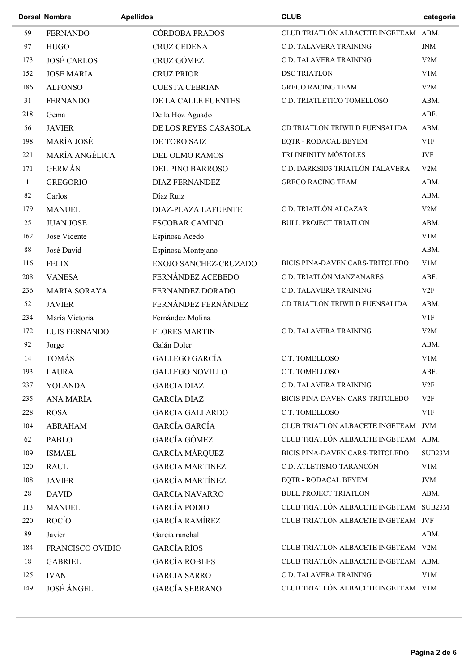|          | <b>Dorsal Nombre</b> | <b>Apellidos</b>           | <b>CLUB</b>                            | categoria  |
|----------|----------------------|----------------------------|----------------------------------------|------------|
| 59       | <b>FERNANDO</b>      | CÓRDOBA PRADOS             | CLUB TRIATLÓN ALBACETE INGETEAM ABM.   |            |
| 97       | <b>HUGO</b>          | <b>CRUZ CEDENA</b>         | C.D. TALAVERA TRAINING                 | <b>JNM</b> |
| 173      | <b>JOSÉ CARLOS</b>   | CRUZ GÓMEZ                 | C.D. TALAVERA TRAINING                 | V2M        |
| 152      | <b>JOSE MARIA</b>    | <b>CRUZ PRIOR</b>          | <b>DSC TRIATLON</b>                    | V1M        |
| 186      | <b>ALFONSO</b>       | <b>CUESTA CEBRIAN</b>      | <b>GREGO RACING TEAM</b>               | V2M        |
| 31       | <b>FERNANDO</b>      | DE LA CALLE FUENTES        | C.D. TRIATLETICO TOMELLOSO             | ABM.       |
| 218      | Gema                 | De la Hoz Aguado           |                                        | ABF.       |
| 56       | <b>JAVIER</b>        | DE LOS REYES CASASOLA      | CD TRIATLÓN TRIWILD FUENSALIDA         | ABM.       |
| 198      | MARÍA JOSÉ           | DE TORO SAIZ               | EQTR - RODACAL BEYEM                   | V1F        |
| 221      | MARÍA ANGÉLICA       | DEL OLMO RAMOS             | TRI INFINITY MÓSTOLES                  | JVF        |
| 171      | <b>GERMÁN</b>        | DEL PINO BARROSO           | C.D. DARKSID3 TRIATLÓN TALAVERA        | V2M        |
| 1        | <b>GREGORIO</b>      | <b>DIAZ FERNANDEZ</b>      | <b>GREGO RACING TEAM</b>               | ABM.       |
| 82       | Carlos               | Díaz Ruiz                  |                                        | ABM.       |
| 179      | <b>MANUEL</b>        | <b>DIAZ-PLAZA LAFUENTE</b> | C.D. TRIATLÓN ALCÁZAR                  | V2M        |
| 25       | <b>JUAN JOSE</b>     | <b>ESCOBAR CAMINO</b>      | <b>BULL PROJECT TRIATLON</b>           | ABM.       |
| 162      | Jose Vicente         | Espinosa Acedo             |                                        | V1M        |
| $\bf 88$ | José David           | Espinosa Montejano         |                                        | ABM.       |
| 116      | <b>FELIX</b>         | EXOJO SANCHEZ-CRUZADO      | BICIS PINA-DAVEN CARS-TRITOLEDO        | V1M        |
| 208      | <b>VANESA</b>        | FERNÁNDEZ ACEBEDO          | C.D. TRIATLÓN MANZANARES               | ABF.       |
| 236      | <b>MARIA SORAYA</b>  | FERNANDEZ DORADO           | C.D. TALAVERA TRAINING                 | V2F        |
| 52       | <b>JAVIER</b>        | FERNÁNDEZ FERNÁNDEZ        | CD TRIATLÓN TRIWILD FUENSALIDA         | ABM.       |
| 234      | María Victoria       | Fernández Molina           |                                        | V1F        |
| 172      | <b>LUIS FERNANDO</b> | <b>FLORES MARTIN</b>       | C.D. TALAVERA TRAINING                 | V2M        |
| 92       | Jorge                | Galán Doler                |                                        | ABM.       |
| 14       | <b>TOMÁS</b>         | <b>GALLEGO GARCÍA</b>      | C.T. TOMELLOSO                         | V1M        |
| 193      | <b>LAURA</b>         | <b>GALLEGO NOVILLO</b>     | C.T. TOMELLOSO                         | ABF.       |
| 237      | <b>YOLANDA</b>       | <b>GARCIA DIAZ</b>         | C.D. TALAVERA TRAINING                 | V2F        |
| 235      | ANA MARÍA            | <b>GARCÍA DÍAZ</b>         | BICIS PINA-DAVEN CARS-TRITOLEDO        | V2F        |
| 228      | <b>ROSA</b>          | <b>GARCIA GALLARDO</b>     | C.T. TOMELLOSO                         | V1F        |
| 104      | <b>ABRAHAM</b>       | GARCÍA GARCÍA              | CLUB TRIATLÓN ALBACETE INGETEAM JVM    |            |
| 62       | PABLO                | GARCÍA GÓMEZ               | CLUB TRIATLÓN ALBACETE INGETEAM ABM.   |            |
| 109      | <b>ISMAEL</b>        | <b>GARCÍA MÁRQUEZ</b>      | BICIS PINA-DAVEN CARS-TRITOLEDO        | SUB23M     |
| 120      | <b>RAUL</b>          | <b>GARCIA MARTINEZ</b>     | C.D. ATLETISMO TARANCÓN                | V1M        |
| 108      | <b>JAVIER</b>        | <b>GARCÍA MARTÍNEZ</b>     | EQTR - RODACAL BEYEM                   | <b>JVM</b> |
| 28       | <b>DAVID</b>         | <b>GARCIA NAVARRO</b>      | <b>BULL PROJECT TRIATLON</b>           | ABM.       |
| 113      | <b>MANUEL</b>        | <b>GARCÍA PODIO</b>        | CLUB TRIATLÓN ALBACETE INGETEAM SUB23M |            |
| 220      | ROCÍO                | <b>GARCÍA RAMÍREZ</b>      | CLUB TRIATLÓN ALBACETE INGETEAM JVF    |            |
| 89       | Javier               | Garcia ranchal             |                                        | ABM.       |
| 184      | FRANCISCO OVIDIO     | <b>GARCÍA RÍOS</b>         | CLUB TRIATLÓN ALBACETE INGETEAM V2M    |            |
| 18       | <b>GABRIEL</b>       | <b>GARCÍA ROBLES</b>       | CLUB TRIATLÓN ALBACETE INGETEAM ABM.   |            |
| 125      | <b>IVAN</b>          | <b>GARCIA SARRO</b>        | C.D. TALAVERA TRAINING                 | V1M        |
| 149      | <b>JOSÉ ÁNGEL</b>    | GARCÍA SERRANO             | CLUB TRIATLÓN ALBACETE INGETEAM V1M    |            |
|          |                      |                            |                                        |            |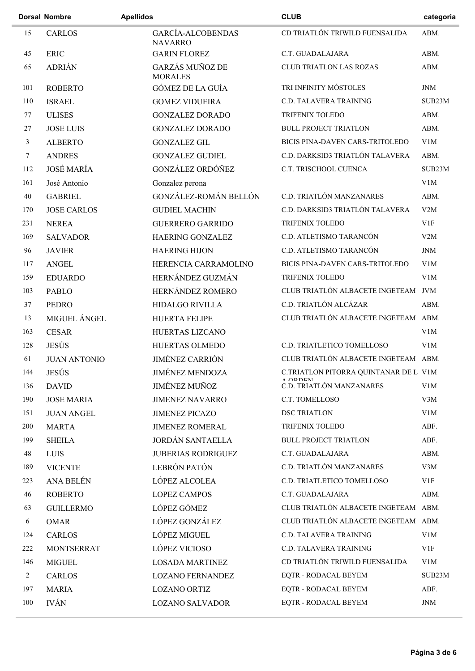|        | <b>Dorsal Nombre</b> | <b>Apellidos</b>                    | <b>CLUB</b>                           | categoria  |
|--------|----------------------|-------------------------------------|---------------------------------------|------------|
| 15     | <b>CARLOS</b>        | GARCÍA-ALCOBENDAS<br><b>NAVARRO</b> | CD TRIATLÓN TRIWILD FUENSALIDA        | ABM.       |
| 45     | <b>ERIC</b>          | <b>GARIN FLOREZ</b>                 | C.T. GUADALAJARA                      | ABM.       |
| 65     | <b>ADRIÁN</b>        | GARZÁS MUÑOZ DE<br><b>MORALES</b>   | <b>CLUB TRIATLON LAS ROZAS</b>        | ABM.       |
| 101    | <b>ROBERTO</b>       | GÓMEZ DE LA GUÍA                    | TRI INFINITY MÓSTOLES                 | <b>JNM</b> |
| 110    | <b>ISRAEL</b>        | <b>GOMEZ VIDUEIRA</b>               | C.D. TALAVERA TRAINING                | SUB23M     |
| 77     | <b>ULISES</b>        | <b>GONZALEZ DORADO</b>              | TRIFENIX TOLEDO                       | ABM.       |
| 27     | <b>JOSE LUIS</b>     | <b>GONZALEZ DORADO</b>              | <b>BULL PROJECT TRIATLON</b>          | ABM.       |
| 3      | <b>ALBERTO</b>       | <b>GONZALEZ GIL</b>                 | BICIS PINA-DAVEN CARS-TRITOLEDO       | V1M        |
| $\tau$ | <b>ANDRES</b>        | <b>GONZALEZ GUDIEL</b>              | C.D. DARKSID3 TRIATLÓN TALAVERA       | ABM.       |
| 112    | <b>JOSÉ MARÍA</b>    | GONZÁLEZ ORDÓÑEZ                    | C.T. TRISCHOOL CUENCA                 | SUB23M     |
| 161    | José Antonio         | Gonzalez perona                     |                                       | V1M        |
| 40     | <b>GABRIEL</b>       | GONZÁLEZ-ROMÁN BELLÓN               | C.D. TRIATLÓN MANZANARES              | ABM.       |
| 170    | <b>JOSE CARLOS</b>   | <b>GUDIEL MACHIN</b>                | C.D. DARKSID3 TRIATLÓN TALAVERA       | V2M        |
| 231    | <b>NEREA</b>         | <b>GUERRERO GARRIDO</b>             | TRIFENIX TOLEDO                       | V1F        |
| 169    | <b>SALVADOR</b>      | <b>HAERING GONZALEZ</b>             | C.D. ATLETISMO TARANCÓN               | V2M        |
| 96     | <b>JAVIER</b>        | <b>HAERING HIJON</b>                | C.D. ATLETISMO TARANCÓN               | <b>JNM</b> |
| 117    | <b>ANGEL</b>         | HERENCIA CARRAMOLINO                | BICIS PINA-DAVEN CARS-TRITOLEDO       | V1M        |
| 159    | <b>EDUARDO</b>       | HERNÁNDEZ GUZMÁN                    | TRIFENIX TOLEDO                       | V1M        |
| 103    | <b>PABLO</b>         | HERNÁNDEZ ROMERO                    | CLUB TRIATLÓN ALBACETE INGETEAM JVM   |            |
| 37     | PEDRO                | <b>HIDALGO RIVILLA</b>              | C.D. TRIATLÓN ALCÁZAR                 | ABM.       |
| 13     | MIGUEL ÁNGEL         | HUERTA FELIPE                       | CLUB TRIATLÓN ALBACETE INGETEAM ABM.  |            |
| 163    | <b>CESAR</b>         | HUERTAS LIZCANO                     |                                       | V1M        |
| 128    | <b>JESÚS</b>         | HUERTAS OLMEDO                      | C.D. TRIATLETICO TOMELLOSO            | V1M        |
| 61     | <b>JUAN ANTONIO</b>  | <b>JIMÉNEZ CARRIÓN</b>              | CLUB TRIATLÓN ALBACETE INGETEAM ABM.  |            |
| 144    | <b>JESÚS</b>         | <b>JIMÉNEZ MENDOZA</b>              | C.TRIATLON PITORRA QUINTANAR DE L V1M |            |
| 136    | <b>DAVID</b>         | <b>JIMÉNEZ MUÑOZ</b>                | C.D. TRIATLÓN MANZANARES              | V1M        |
| 190    | <b>JOSE MARIA</b>    | <b>JIMENEZ NAVARRO</b>              | C.T. TOMELLOSO                        | V3M        |
| 151    | <b>JUAN ANGEL</b>    | <b>JIMENEZ PICAZO</b>               | <b>DSC TRIATLON</b>                   | V1M        |
| 200    | <b>MARTA</b>         | <b>JIMENEZ ROMERAL</b>              | TRIFENIX TOLEDO                       | ABF.       |
| 199    | <b>SHEILA</b>        | <b>JORDÁN SANTAELLA</b>             | <b>BULL PROJECT TRIATLON</b>          | ABF.       |
| 48     | <b>LUIS</b>          | <b>JUBERIAS RODRIGUEZ</b>           | C.T. GUADALAJARA                      | ABM.       |
| 189    | <b>VICENTE</b>       | LEBRÓN PATÓN                        | C.D. TRIATLÓN MANZANARES              | V3M        |
| 223    | ANA BELÉN            | LÓPEZ ALCOLEA                       | C.D. TRIATLETICO TOMELLOSO            | V1F        |
| 46     | <b>ROBERTO</b>       | <b>LOPEZ CAMPOS</b>                 | C.T. GUADALAJARA                      | ABM.       |
| 63     | <b>GUILLERMO</b>     | LÓPEZ GÓMEZ                         | CLUB TRIATLÓN ALBACETE INGETEAM ABM.  |            |
| 6      | <b>OMAR</b>          | LÓPEZ GONZÁLEZ                      | CLUB TRIATLÓN ALBACETE INGETEAM ABM.  |            |
| 124    | CARLOS               | LÓPEZ MIGUEL                        | C.D. TALAVERA TRAINING                | V1M        |
| 222    | <b>MONTSERRAT</b>    | LÓPEZ VICIOSO                       | C.D. TALAVERA TRAINING                | V1F        |
| 146    | MIGUEL               | <b>LOSADA MARTINEZ</b>              | CD TRIATLÓN TRIWILD FUENSALIDA        | V1M        |
| 2      | <b>CARLOS</b>        | <b>LOZANO FERNANDEZ</b>             | EQTR - RODACAL BEYEM                  | SUB23M     |
| 197    | <b>MARIA</b>         | <b>LOZANO ORTIZ</b>                 | EQTR - RODACAL BEYEM                  | ABF.       |
| 100    | <b>IVÁN</b>          | <b>LOZANO SALVADOR</b>              | EQTR - RODACAL BEYEM                  | JNM        |
|        |                      |                                     |                                       |            |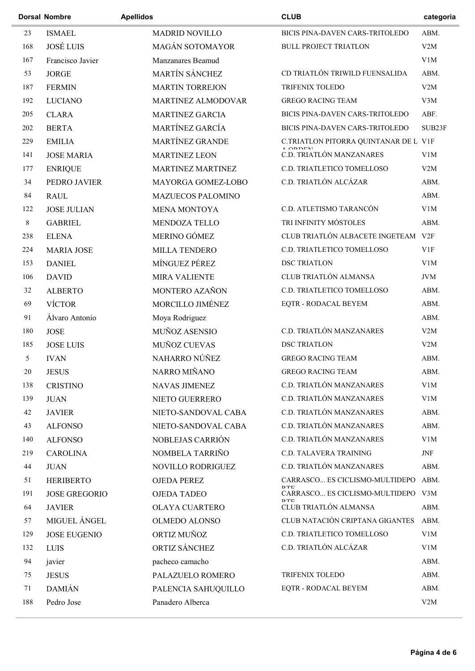|             | <b>Dorsal Nombre</b> | <b>Apellidos</b>         | <b>CLUB</b>                                                | categoria  |
|-------------|----------------------|--------------------------|------------------------------------------------------------|------------|
| 23          | <b>ISMAEL</b>        | <b>MADRID NOVILLO</b>    | BICIS PINA-DAVEN CARS-TRITOLEDO                            | ABM.       |
| 168         | <b>JOSÉ LUIS</b>     | <b>MAGÁN SOTOMAYOR</b>   | <b>BULL PROJECT TRIATLON</b>                               | V2M        |
| 167         | Francisco Javier     | Manzanares Beamud        |                                                            | V1M        |
| 53          | <b>JORGE</b>         | MARTÍN SÁNCHEZ           | CD TRIATLÓN TRIWILD FUENSALIDA                             | ABM.       |
| 187         | <b>FERMIN</b>        | <b>MARTIN TORREJON</b>   | TRIFENIX TOLEDO                                            | V2M        |
| 192         | <b>LUCIANO</b>       | MARTINEZ ALMODOVAR       | <b>GREGO RACING TEAM</b>                                   | V3M        |
| 205         | <b>CLARA</b>         | <b>MARTINEZ GARCIA</b>   | BICIS PINA-DAVEN CARS-TRITOLEDO                            | ABF.       |
| 202         | <b>BERTA</b>         | MARTÍNEZ GARCÍA          | BICIS PINA-DAVEN CARS-TRITOLEDO                            | SUB23F     |
| 229         | <b>EMILIA</b>        | <b>MARTÍNEZ GRANDE</b>   | C.TRIATLON PITORRA QUINTANAR DE L V1F<br>$\triangle$ ODDEN |            |
| 141         | <b>JOSE MARIA</b>    | <b>MARTINEZ LEON</b>     | C.D. TRIATLÓN MANZANARES                                   | V1M        |
| 177         | <b>ENRIQUE</b>       | MARTINEZ MARTINEZ        | C.D. TRIATLETICO TOMELLOSO                                 | V2M        |
| 34          | PEDRO JAVIER         | MAYORGA GOMEZ-LOBO       | C.D. TRIATLÓN ALCÁZAR                                      | ABM.       |
| 84          | <b>RAUL</b>          | <b>MAZUECOS PALOMINO</b> |                                                            | ABM.       |
| 122         | <b>JOSE JULIAN</b>   | <b>MENA MONTOYA</b>      | C.D. ATLETISMO TARANCÓN                                    | V1M        |
| $\,$ 8 $\,$ | <b>GABRIEL</b>       | <b>MENDOZA TELLO</b>     | TRI INFINITY MÓSTOLES                                      | ABM.       |
| 238         | <b>ELENA</b>         | MERINO GÓMEZ             | CLUB TRIATLÓN ALBACETE INGETEAM V2F                        |            |
| 224         | <b>MARIA JOSE</b>    | MILLA TENDERO            | C.D. TRIATLETICO TOMELLOSO                                 | V1F        |
| 153         | <b>DANIEL</b>        | MÍNGUEZ PÉREZ            | <b>DSC TRIATLON</b>                                        | V1M        |
| 106         | <b>DAVID</b>         | <b>MIRA VALIENTE</b>     | CLUB TRIATLÓN ALMANSA                                      | <b>JVM</b> |
| 32          | <b>ALBERTO</b>       | MONTERO AZAÑON           | C.D. TRIATLETICO TOMELLOSO                                 | ABM.       |
| 69          | <b>VÍCTOR</b>        | MORCILLO JIMÉNEZ         | EQTR - RODACAL BEYEM                                       | ABM.       |
| 91          | Álvaro Antonio       | Moya Rodriguez           |                                                            | ABM.       |
| 180         | <b>JOSE</b>          | MUÑOZ ASENSIO            | C.D. TRIATLÓN MANZANARES                                   | V2M        |
| 185         | <b>JOSE LUIS</b>     | MUÑOZ CUEVAS             | <b>DSC TRIATLON</b>                                        | V2M        |
| 5           | <b>IVAN</b>          | NAHARRO NÚÑEZ            | <b>GREGO RACING TEAM</b>                                   | ABM.       |
| $20\,$      | <b>JESUS</b>         | NARRO MIÑANO             | <b>GREGO RACING TEAM</b>                                   | ABM.       |
| 138         | <b>CRISTINO</b>      | NAVAS JIMENEZ            | C.D. TRIATLÓN MANZANARES                                   | V1M        |
| 139         | <b>JUAN</b>          | NIETO GUERRERO           | C.D. TRIATLÓN MANZANARES                                   | V1M        |
| 42          | <b>JAVIER</b>        | NIETO-SANDOVAL CABA      | C.D. TRIATLÓN MANZANARES                                   | ABM.       |
| 43          | <b>ALFONSO</b>       | NIETO-SANDOVAL CABA      | C.D. TRIATLÓN MANZANARES                                   | ABM.       |
| 140         | <b>ALFONSO</b>       | NOBLEJAS CARRIÓN         | C.D. TRIATLÓN MANZANARES                                   | V1M        |
| 219         | <b>CAROLINA</b>      | NOMBELA TARRIÑO          | C.D. TALAVERA TRAINING                                     | JNF        |
| 44          | <b>JUAN</b>          | NOVILLO RODRIGUEZ        | C.D. TRIATLÓN MANZANARES                                   | ABM.       |
| 51          | <b>HERIBERTO</b>     | <b>OJEDA PEREZ</b>       | CARRASCO ES CICLISMO-MULTIDEPO                             | ABM.       |
| 191         | <b>JOSE GREGORIO</b> | <b>OJEDA TADEO</b>       | DTE<br>CARRASCO ES CICLISMO-MULTIDEPO V3M                  |            |
| 64          | <b>JAVIER</b>        | <b>OLAYA CUARTERO</b>    | <b>DTE</b><br>CLUB TRIATLÓN ALMANSA                        | ABM.       |
| 57          | MIGUEL ÁNGEL         | <b>OLMEDO ALONSO</b>     | CLUB NATACIÓN CRIPTANA GIGANTES                            | ABM.       |
| 129         | <b>JOSE EUGENIO</b>  | ORTIZ MUÑOZ              | C.D. TRIATLETICO TOMELLOSO                                 | V1M        |
| 132         | LUIS                 | ORTIZ SÁNCHEZ            | C.D. TRIATLÓN ALCÁZAR                                      | V1M        |
| 94          | javier               | pacheco camacho          |                                                            | ABM.       |
| 75          | <b>JESUS</b>         | PALAZUELO ROMERO         | TRIFENIX TOLEDO                                            | ABM.       |
| 71          | <b>DAMIÁN</b>        | PALENCIA SAHUQUILLO      | EQTR - RODACAL BEYEM                                       | ABM.       |
| 188         | Pedro Jose           | Panadero Alberca         |                                                            | V2M        |
|             |                      |                          |                                                            |            |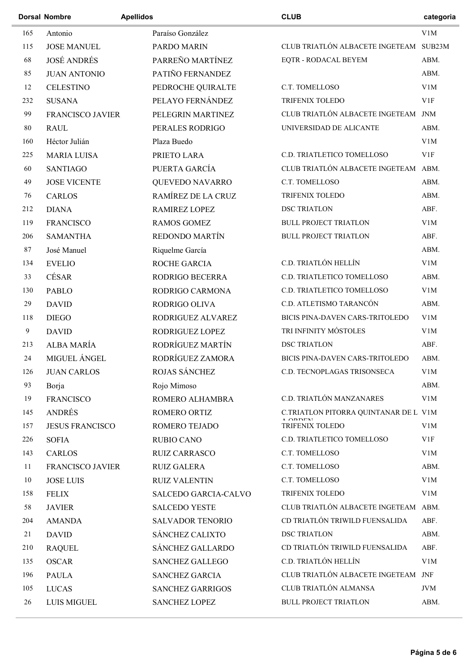|     | <b>Dorsal Nombre</b>   | <b>Apellidos</b> |                         | <b>CLUB</b>                                                                      | categoria  |
|-----|------------------------|------------------|-------------------------|----------------------------------------------------------------------------------|------------|
| 165 | Antonio                |                  | Paraíso González        |                                                                                  | V1M        |
| 115 | <b>JOSE MANUEL</b>     |                  | <b>PARDO MARIN</b>      | CLUB TRIATLÓN ALBACETE INGETEAM SUB23M                                           |            |
| 68  | <b>JOSÉ ANDRÉS</b>     |                  | PARREÑO MARTÍNEZ        | <b>EQTR - RODACAL BEYEM</b>                                                      | ABM.       |
| 85  | <b>JUAN ANTONIO</b>    |                  | PATIÑO FERNANDEZ        |                                                                                  | ABM.       |
| 12  | <b>CELESTINO</b>       |                  | PEDROCHE QUIRALTE       | C.T. TOMELLOSO                                                                   | V1M        |
| 232 | <b>SUSANA</b>          |                  | PELAYO FERNÁNDEZ        | TRIFENIX TOLEDO                                                                  | V1F        |
| 99  | FRANCISCO JAVIER       |                  | PELEGRIN MARTINEZ       | CLUB TRIATLÓN ALBACETE INGETEAM JNM                                              |            |
| 80  | <b>RAUL</b>            |                  | PERALES RODRIGO         | UNIVERSIDAD DE ALICANTE                                                          | ABM.       |
| 160 | Héctor Julián          |                  | Plaza Buedo             |                                                                                  | V1M        |
| 225 | <b>MARIA LUISA</b>     |                  | PRIETO LARA             | C.D. TRIATLETICO TOMELLOSO                                                       | V1F        |
| 60  | <b>SANTIAGO</b>        |                  | PUERTA GARCÍA           | CLUB TRIATLÓN ALBACETE INGETEAM ABM.                                             |            |
| 49  | <b>JOSE VICENTE</b>    |                  | QUEVEDO NAVARRO         | C.T. TOMELLOSO                                                                   | ABM.       |
| 76  | <b>CARLOS</b>          |                  | RAMÍREZ DE LA CRUZ      | TRIFENIX TOLEDO                                                                  | ABM.       |
| 212 | <b>DIANA</b>           |                  | <b>RAMIREZ LOPEZ</b>    | <b>DSC TRIATLON</b>                                                              | ABF.       |
| 119 | <b>FRANCISCO</b>       |                  | <b>RAMOS GOMEZ</b>      | <b>BULL PROJECT TRIATLON</b>                                                     | V1M        |
| 206 | <b>SAMANTHA</b>        |                  | REDONDO MARTÍN          | <b>BULL PROJECT TRIATLON</b>                                                     | ABF.       |
| 87  | José Manuel            |                  | Riquelme García         |                                                                                  | ABM.       |
| 134 | <b>EVELIO</b>          |                  | ROCHE GARCIA            | C.D. TRIATLÓN HELLÍN                                                             | V1M        |
| 33  | CÉSAR                  |                  | RODRIGO BECERRA         | C.D. TRIATLETICO TOMELLOSO                                                       | ABM.       |
| 130 | <b>PABLO</b>           |                  | RODRIGO CARMONA         | C.D. TRIATLETICO TOMELLOSO                                                       | V1M        |
| 29  | <b>DAVID</b>           |                  | RODRIGO OLIVA           | C.D. ATLETISMO TARANCÓN                                                          | ABM.       |
| 118 | <b>DIEGO</b>           |                  | RODRIGUEZ ALVAREZ       | BICIS PINA-DAVEN CARS-TRITOLEDO                                                  | V1M        |
| 9   | <b>DAVID</b>           |                  | RODRIGUEZ LOPEZ         | TRI INFINITY MÓSTOLES                                                            | V1M        |
| 213 | ALBA MARÍA             |                  | RODRÍGUEZ MARTÍN        | <b>DSC TRIATLON</b>                                                              | ABF.       |
| 24  | MIGUEL ÁNGEL           |                  | RODRÍGUEZ ZAMORA        | BICIS PINA-DAVEN CARS-TRITOLEDO                                                  | ABM.       |
| 126 | <b>JUAN CARLOS</b>     |                  | ROJAS SÁNCHEZ           | C.D. TECNOPLAGAS TRISONSECA                                                      | V1M        |
| 93  | Borja                  |                  | Rojo Mimoso             |                                                                                  | ABM.       |
| 19  | <b>FRANCISCO</b>       |                  | ROMERO ALHAMBRA         | C.D. TRIATLÓN MANZANARES                                                         | V1M        |
| 145 | <b>ANDRÉS</b>          |                  | ROMERO ORTIZ            | C.TRIATLON PITORRA QUINTANAR DE L V1M                                            |            |
| 157 | <b>JESUS FRANCISCO</b> |                  | ROMERO TEJADO           | $\triangle$ $\triangle$ <sup>D</sup> $\triangle$ <sup>T</sup><br>TRIFENIX TOLEDO | V1M        |
| 226 | <b>SOFIA</b>           |                  | <b>RUBIO CANO</b>       | C.D. TRIATLETICO TOMELLOSO                                                       | V1F        |
| 143 | <b>CARLOS</b>          |                  | <b>RUIZ CARRASCO</b>    | C.T. TOMELLOSO                                                                   | V1M        |
| 11  | FRANCISCO JAVIER       |                  | <b>RUIZ GALERA</b>      | C.T. TOMELLOSO                                                                   | ABM.       |
| 10  | <b>JOSE LUIS</b>       |                  | <b>RUIZ VALENTIN</b>    | C.T. TOMELLOSO                                                                   | V1M        |
| 158 | <b>FELIX</b>           |                  | SALCEDO GARCIA-CALVO    | TRIFENIX TOLEDO                                                                  | V1M        |
| 58  | <b>JAVIER</b>          |                  | <b>SALCEDO YESTE</b>    | CLUB TRIATLÓN ALBACETE INGETEAM ABM.                                             |            |
| 204 | <b>AMANDA</b>          |                  | <b>SALVADOR TENORIO</b> | CD TRIATLÓN TRIWILD FUENSALIDA                                                   | ABF.       |
| 21  | <b>DAVID</b>           |                  | SÁNCHEZ CALIXTO         | <b>DSC TRIATLON</b>                                                              | ABM.       |
| 210 | <b>RAQUEL</b>          |                  | SÁNCHEZ GALLARDO        | CD TRIATLÓN TRIWILD FUENSALIDA                                                   | ABF.       |
| 135 | <b>OSCAR</b>           |                  | <b>SANCHEZ GALLEGO</b>  | C.D. TRIATLÓN HELLÍN                                                             | V1M        |
| 196 | <b>PAULA</b>           |                  | <b>SANCHEZ GARCIA</b>   | CLUB TRIATLÓN ALBACETE INGETEAM JNF                                              |            |
| 105 | <b>LUCAS</b>           |                  | <b>SANCHEZ GARRIGOS</b> | CLUB TRIATLÓN ALMANSA                                                            | <b>JVM</b> |
| 26  | <b>LUIS MIGUEL</b>     |                  | <b>SANCHEZ LOPEZ</b>    | <b>BULL PROJECT TRIATLON</b>                                                     | ABM.       |
|     |                        |                  |                         |                                                                                  |            |